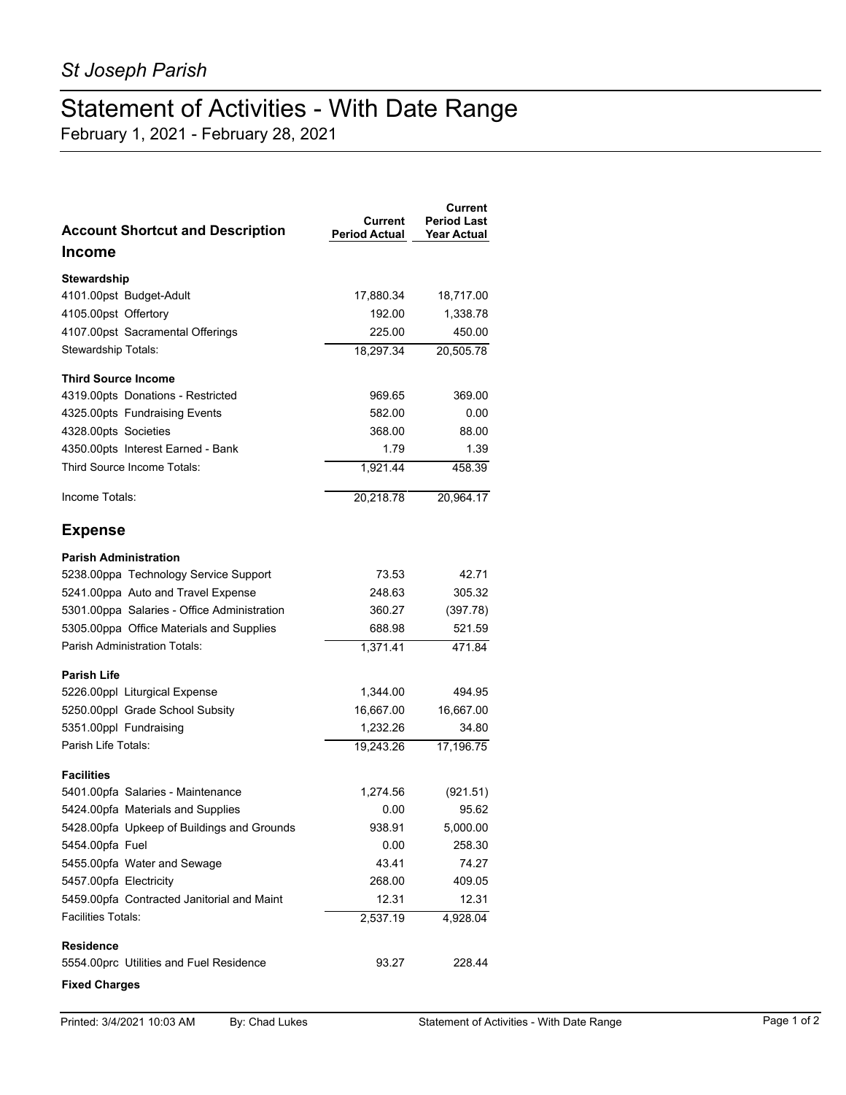## Statement of Activities - With Date Range

February 1, 2021 - February 28, 2021

| <b>Account Shortcut and Description</b>     | Current<br><b>Period Actual</b> | <b>Current</b><br><b>Period Last</b><br><b>Year Actual</b> |
|---------------------------------------------|---------------------------------|------------------------------------------------------------|
| <b>Income</b>                               |                                 |                                                            |
| <b>Stewardship</b>                          |                                 |                                                            |
| 4101.00pst Budget-Adult                     | 17,880.34                       | 18,717.00                                                  |
| 4105.00pst Offertory                        | 192.00                          | 1,338.78                                                   |
| 4107.00pst Sacramental Offerings            | 225.00                          | 450.00                                                     |
| Stewardship Totals:                         | 18,297.34                       | 20,505.78                                                  |
| <b>Third Source Income</b>                  |                                 |                                                            |
| 4319.00pts Donations - Restricted           | 969.65                          | 369.00                                                     |
| 4325.00pts Fundraising Events               | 582.00                          | 0.00                                                       |
| 4328.00pts Societies                        | 368.00                          | 88.00                                                      |
| 4350.00pts Interest Earned - Bank           | 1.79                            | 1.39                                                       |
| Third Source Income Totals:                 | 1,921.44                        | 458.39                                                     |
| Income Totals:                              | 20,218.78                       | 20,964.17                                                  |
| <b>Expense</b>                              |                                 |                                                            |
| <b>Parish Administration</b>                |                                 |                                                            |
| 5238.00ppa Technology Service Support       | 73.53                           | 42.71                                                      |
| 5241.00ppa Auto and Travel Expense          | 248.63                          | 305.32                                                     |
| 5301.00ppa Salaries - Office Administration | 360.27                          | (397.78)                                                   |
| 5305.00ppa Office Materials and Supplies    | 688.98                          | 521.59                                                     |
| Parish Administration Totals:               | 1,371.41                        | 471.84                                                     |
| <b>Parish Life</b>                          |                                 |                                                            |
| 5226.00ppl Liturgical Expense               | 1,344.00                        | 494.95                                                     |
| 5250.00ppl Grade School Subsity             | 16,667.00                       | 16,667.00                                                  |
| 5351.00ppl Fundraising                      | 1,232.26                        | 34.80                                                      |
| Parish Life Totals:                         | 19,243.26                       | 17,196.75                                                  |
| <b>Facilities</b>                           |                                 |                                                            |
| 5401.00pfa Salaries - Maintenance           | 1,274.56                        | (921.51)                                                   |
| 5424.00pfa Materials and Supplies           | 0.00                            | 95.62                                                      |
| 5428.00pfa Upkeep of Buildings and Grounds  | 938.91                          | 5,000.00                                                   |
| 5454.00pfa Fuel                             | 0.00                            | 258.30                                                     |
| 5455.00pfa Water and Sewage                 | 43.41                           | 74.27                                                      |
| 5457.00pfa Electricity                      | 268.00                          | 409.05                                                     |
| 5459.00pfa Contracted Janitorial and Maint  | 12.31                           | 12.31                                                      |
| Facilities Totals:                          | 2,537.19                        | 4,928.04                                                   |
| <b>Residence</b>                            |                                 |                                                            |
| 5554.00prc Utilities and Fuel Residence     | 93.27                           | 228.44                                                     |
| <b>Fixed Charges</b>                        |                                 |                                                            |